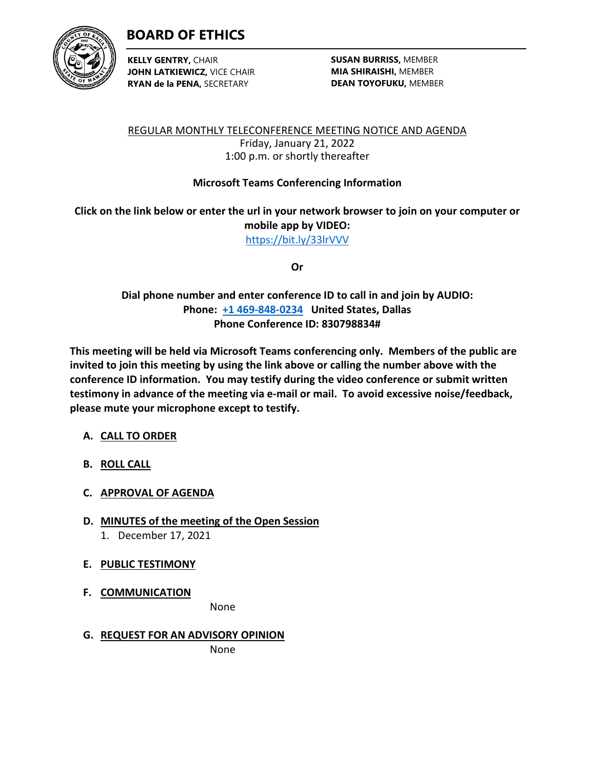



**KELLY GENTRY,** CHAIR **JOHN LATKIEWICZ,** VICE CHAIR **RYAN de la PENA,** SECRETARY

**SUSAN BURRISS,** MEMBER **MIA SHIRAISHI,** MEMBER **DEAN TOYOFUKU,** MEMBER

REGULAR MONTHLY TELECONFERENCE MEETING NOTICE AND AGENDA Friday, January 21, 2022 1:00 p.m. or shortly thereafter

## **Microsoft Teams Conferencing Information**

**Click on the link below or enter the url in your network browser to join on your computer or mobile app by VIDEO:** <https://bit.ly/33lrVVV>

**Or**

**Dial phone number and enter conference ID to call in and join by AUDIO: Phone: [+1 469-848-0234](tel:+14698480234,,276040448#%20) United States, Dallas Phone Conference ID: 830798834#**

**This meeting will be held via Microsoft Teams conferencing only. Members of the public are invited to join this meeting by using the link above or calling the number above with the conference ID information. You may testify during the video conference or submit written testimony in advance of the meeting via e-mail or mail. To avoid excessive noise/feedback, please mute your microphone except to testify.**

## **A. CALL TO ORDER**

**B. ROLL CALL**

## **C. APPROVAL OF AGENDA**

**D. MINUTES of the meeting of the Open Session** 1. December 17, 2021

## **E. PUBLIC TESTIMONY**

**F. COMMUNICATION**

None

## **G. REQUEST FOR AN ADVISORY OPINION**

None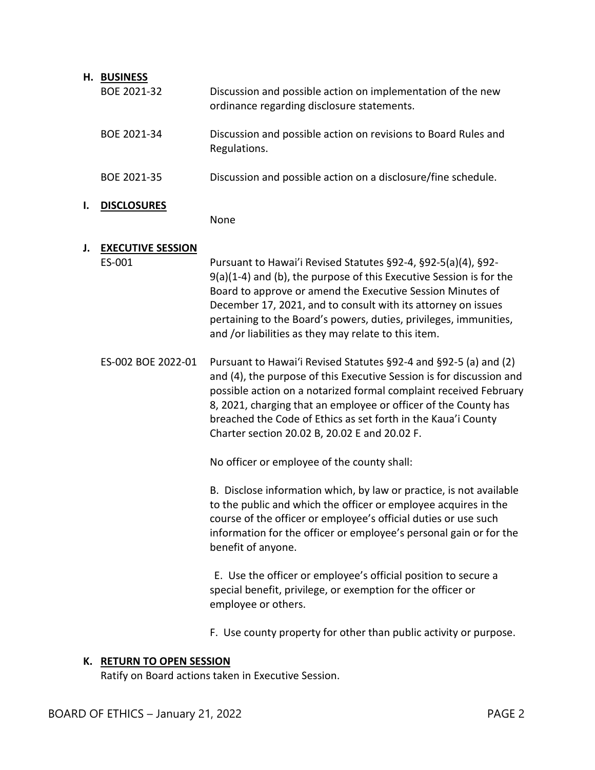|    | H. BUSINESS                        |                                                                                                                                                                                                                                                                                                                                                                                                    |
|----|------------------------------------|----------------------------------------------------------------------------------------------------------------------------------------------------------------------------------------------------------------------------------------------------------------------------------------------------------------------------------------------------------------------------------------------------|
|    | BOE 2021-32                        | Discussion and possible action on implementation of the new<br>ordinance regarding disclosure statements.                                                                                                                                                                                                                                                                                          |
|    | BOE 2021-34                        | Discussion and possible action on revisions to Board Rules and<br>Regulations.                                                                                                                                                                                                                                                                                                                     |
|    | BOE 2021-35                        | Discussion and possible action on a disclosure/fine schedule.                                                                                                                                                                                                                                                                                                                                      |
| ı. | <b>DISCLOSURES</b>                 | None                                                                                                                                                                                                                                                                                                                                                                                               |
| J. | <b>EXECUTIVE SESSION</b><br>ES-001 | Pursuant to Hawai'i Revised Statutes §92-4, §92-5(a)(4), §92-<br>$9(a)(1-4)$ and (b), the purpose of this Executive Session is for the<br>Board to approve or amend the Executive Session Minutes of<br>December 17, 2021, and to consult with its attorney on issues<br>pertaining to the Board's powers, duties, privileges, immunities,<br>and /or liabilities as they may relate to this item. |
|    | ES-002 BOE 2022-01                 | Pursuant to Hawai'i Revised Statutes §92-4 and §92-5 (a) and (2)<br>and (4), the purpose of this Executive Session is for discussion and<br>possible action on a notarized formal complaint received February<br>8, 2021, charging that an employee or officer of the County has<br>breached the Code of Ethics as set forth in the Kaua'i County<br>Charter section 20.02 B, 20.02 E and 20.02 F. |
|    |                                    | No officer or employee of the county shall:                                                                                                                                                                                                                                                                                                                                                        |
|    |                                    | B. Disclose information which, by law or practice, is not available<br>to the public and which the officer or employee acquires in the<br>course of the officer or employee's official duties or use such<br>information for the officer or employee's personal gain or for the<br>benefit of anyone.                                                                                              |
|    |                                    | E. Use the officer or employee's official position to secure a<br>special benefit, privilege, or exemption for the officer or<br>employee or others.                                                                                                                                                                                                                                               |
|    |                                    | F. Use county property for other than public activity or purpose.                                                                                                                                                                                                                                                                                                                                  |

# **K. RETURN TO OPEN SESSION**

Ratify on Board actions taken in Executive Session.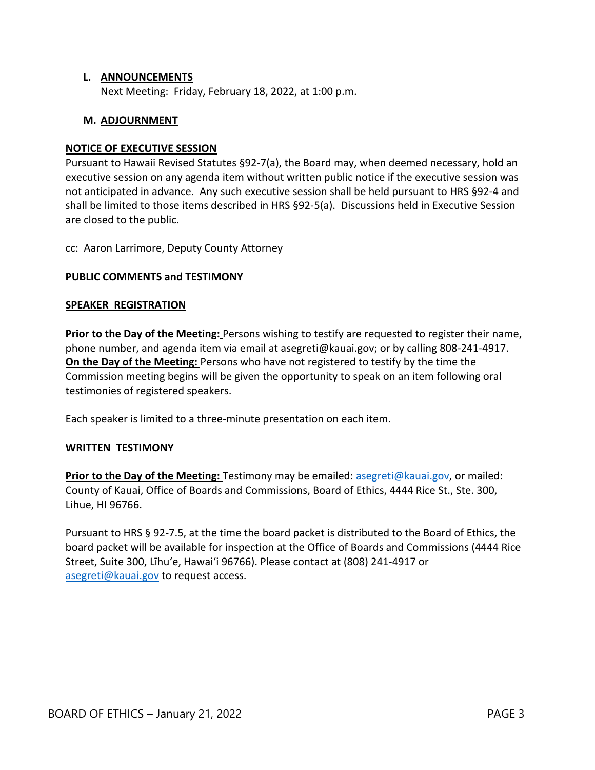#### **L. ANNOUNCEMENTS**

Next Meeting: Friday, February 18, 2022, at 1:00 p.m.

#### **M. ADJOURNMENT**

#### **NOTICE OF EXECUTIVE SESSION**

Pursuant to Hawaii Revised Statutes §92-7(a), the Board may, when deemed necessary, hold an executive session on any agenda item without written public notice if the executive session was not anticipated in advance. Any such executive session shall be held pursuant to HRS §92-4 and shall be limited to those items described in HRS §92-5(a). Discussions held in Executive Session are closed to the public.

cc: Aaron Larrimore, Deputy County Attorney

#### **PUBLIC COMMENTS and TESTIMONY**

#### **SPEAKER REGISTRATION**

**Prior to the Day of the Meeting:** Persons wishing to testify are requested to register their name, phone number, and agenda item via email at asegreti@kauai.gov; or by calling 808-241-4917. **On the Day of the Meeting:** Persons who have not registered to testify by the time the Commission meeting begins will be given the opportunity to speak on an item following oral testimonies of registered speakers.

Each speaker is limited to a three-minute presentation on each item.

#### **WRITTEN TESTIMONY**

**Prior to the Day of the Meeting:** Testimony may be emailed: [asegreti@kauai.gov,](mailto:asegreti@kauai.gov) or mailed: County of Kauai, Office of Boards and Commissions, Board of Ethics, 4444 Rice St., Ste. 300, Lihue, HI 96766.

Pursuant to HRS § 92-7.5, at the time the board packet is distributed to the Board of Ethics, the board packet will be available for inspection at the Office of Boards and Commissions (4444 Rice Street, Suite 300, Līhu'e, Hawai'i 96766). Please contact at (808) 241-4917 or [asegreti@kauai.gov](mailto:asegreti@kauai.gov) to request access.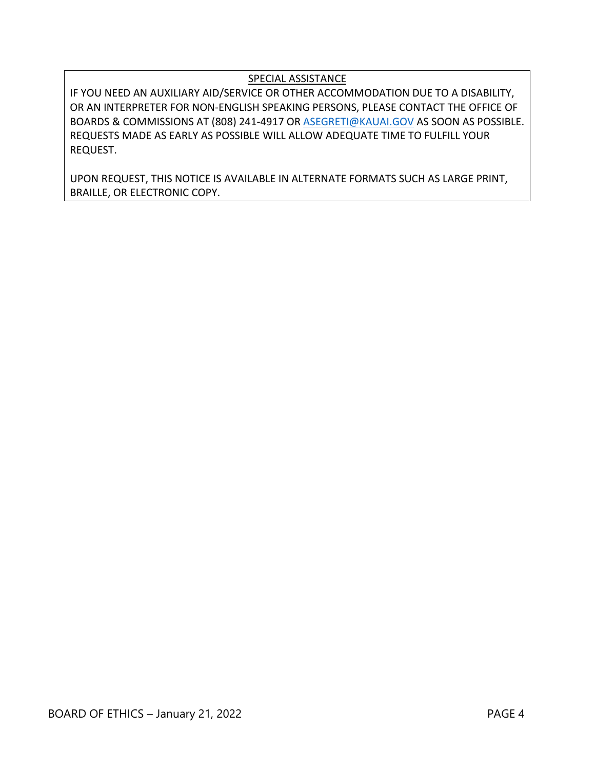## SPECIAL ASSISTANCE

IF YOU NEED AN AUXILIARY AID/SERVICE OR OTHER ACCOMMODATION DUE TO A DISABILITY, OR AN INTERPRETER FOR NON-ENGLISH SPEAKING PERSONS, PLEASE CONTACT THE OFFICE OF BOARDS & COMMISSIONS AT (808) 241-4917 OR [ASEGRETI@KAUAI.GOV](mailto:ASEGRETI@KAUAI.GOV) AS SOON AS POSSIBLE. REQUESTS MADE AS EARLY AS POSSIBLE WILL ALLOW ADEQUATE TIME TO FULFILL YOUR REQUEST.

UPON REQUEST, THIS NOTICE IS AVAILABLE IN ALTERNATE FORMATS SUCH AS LARGE PRINT, BRAILLE, OR ELECTRONIC COPY.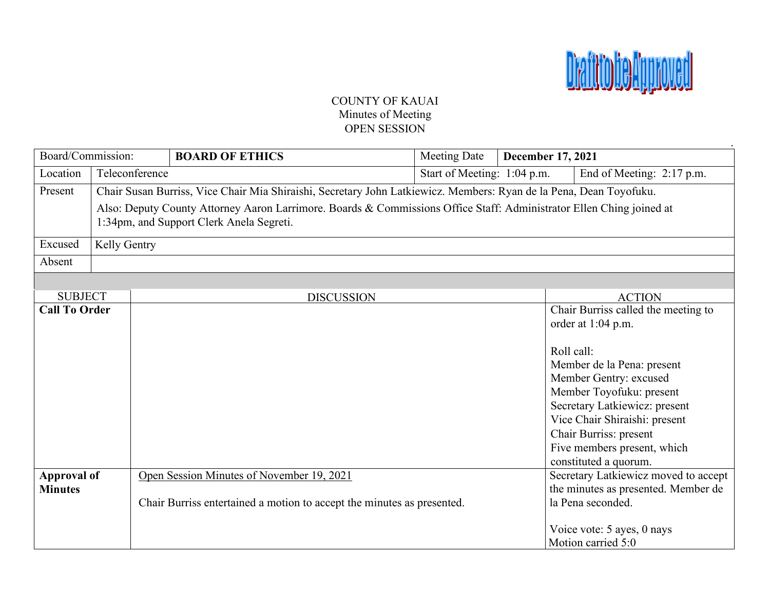

## COUNTY OF KAUAI Minutes of Meeting OPEN SESSION

| Board/Commission:                        |              |                | <b>BOARD OF ETHICS</b>                                                                                               | <b>Meeting Date</b>         | December 17, 2021 |                                                                             |
|------------------------------------------|--------------|----------------|----------------------------------------------------------------------------------------------------------------------|-----------------------------|-------------------|-----------------------------------------------------------------------------|
| Location                                 |              | Teleconference |                                                                                                                      | Start of Meeting: 1:04 p.m. |                   | End of Meeting: 2:17 p.m.                                                   |
| Present                                  |              |                | Chair Susan Burriss, Vice Chair Mia Shiraishi, Secretary John Latkiewicz. Members: Ryan de la Pena, Dean Toyofuku.   |                             |                   |                                                                             |
|                                          |              |                | Also: Deputy County Attorney Aaron Larrimore. Boards & Commissions Office Staff: Administrator Ellen Ching joined at |                             |                   |                                                                             |
| 1:34pm, and Support Clerk Anela Segreti. |              |                |                                                                                                                      |                             |                   |                                                                             |
| Excused                                  | Kelly Gentry |                |                                                                                                                      |                             |                   |                                                                             |
| Absent                                   |              |                |                                                                                                                      |                             |                   |                                                                             |
|                                          |              |                |                                                                                                                      |                             |                   |                                                                             |
| <b>SUBJECT</b>                           |              |                | <b>DISCUSSION</b>                                                                                                    |                             |                   | <b>ACTION</b>                                                               |
| <b>Call To Order</b>                     |              |                |                                                                                                                      |                             |                   | Chair Burriss called the meeting to                                         |
|                                          |              |                |                                                                                                                      |                             |                   | order at 1:04 p.m.                                                          |
|                                          |              |                |                                                                                                                      |                             |                   | Roll call:                                                                  |
|                                          |              |                |                                                                                                                      |                             |                   | Member de la Pena: present                                                  |
|                                          |              |                |                                                                                                                      |                             |                   | Member Gentry: excused                                                      |
|                                          |              |                |                                                                                                                      |                             |                   | Member Toyofuku: present                                                    |
|                                          |              |                |                                                                                                                      |                             |                   | Secretary Latkiewicz: present                                               |
|                                          |              |                |                                                                                                                      |                             |                   | Vice Chair Shiraishi: present                                               |
|                                          |              |                |                                                                                                                      |                             |                   | Chair Burriss: present                                                      |
|                                          |              |                |                                                                                                                      |                             |                   | Five members present, which                                                 |
|                                          |              |                |                                                                                                                      |                             |                   | constituted a quorum.                                                       |
| <b>Approval of</b><br><b>Minutes</b>     |              |                | Open Session Minutes of November 19, 2021                                                                            |                             |                   | Secretary Latkiewicz moved to accept<br>the minutes as presented. Member de |
|                                          |              |                | Chair Burriss entertained a motion to accept the minutes as presented.                                               |                             |                   | la Pena seconded.                                                           |
|                                          |              |                |                                                                                                                      |                             |                   |                                                                             |
|                                          |              |                |                                                                                                                      |                             |                   | Voice vote: 5 ayes, 0 nays                                                  |
|                                          |              |                |                                                                                                                      |                             |                   | Motion carried 5:0                                                          |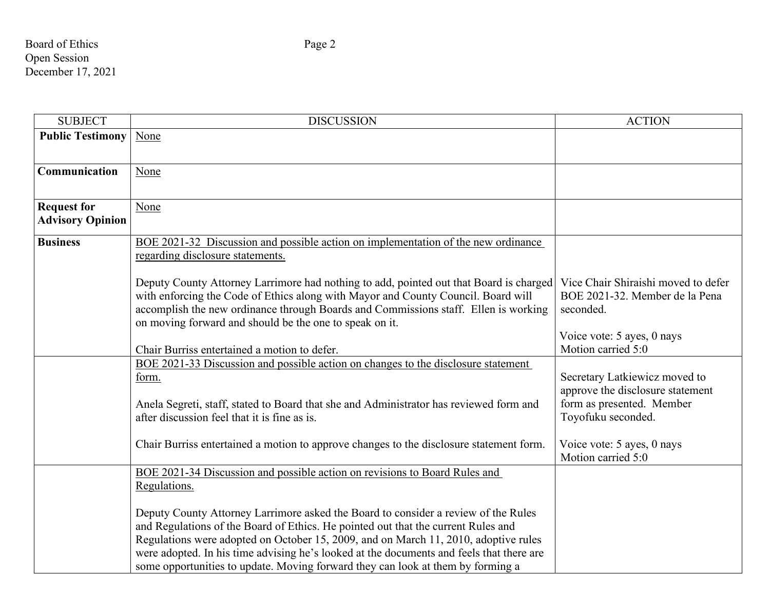Board of Ethics Page 2 Open Session December 17, 2021

| <b>SUBJECT</b>                                | <b>DISCUSSION</b>                                                                                                                                                                                                                                                                                                                                                                                                                             | <b>ACTION</b>                                                                                                        |
|-----------------------------------------------|-----------------------------------------------------------------------------------------------------------------------------------------------------------------------------------------------------------------------------------------------------------------------------------------------------------------------------------------------------------------------------------------------------------------------------------------------|----------------------------------------------------------------------------------------------------------------------|
| <b>Public Testimony</b>                       | None                                                                                                                                                                                                                                                                                                                                                                                                                                          |                                                                                                                      |
| Communication                                 | None                                                                                                                                                                                                                                                                                                                                                                                                                                          |                                                                                                                      |
| <b>Request for</b><br><b>Advisory Opinion</b> | None                                                                                                                                                                                                                                                                                                                                                                                                                                          |                                                                                                                      |
| <b>Business</b>                               | BOE 2021-32 Discussion and possible action on implementation of the new ordinance<br>regarding disclosure statements.                                                                                                                                                                                                                                                                                                                         |                                                                                                                      |
|                                               | Deputy County Attorney Larrimore had nothing to add, pointed out that Board is charged<br>with enforcing the Code of Ethics along with Mayor and County Council. Board will<br>accomplish the new ordinance through Boards and Commissions staff. Ellen is working<br>on moving forward and should be the one to speak on it.                                                                                                                 | Vice Chair Shiraishi moved to defer<br>BOE 2021-32. Member de la Pena<br>seconded.                                   |
|                                               | Chair Burriss entertained a motion to defer.                                                                                                                                                                                                                                                                                                                                                                                                  | Voice vote: 5 ayes, 0 nays<br>Motion carried 5:0                                                                     |
|                                               | BOE 2021-33 Discussion and possible action on changes to the disclosure statement<br>form.<br>Anela Segreti, staff, stated to Board that she and Administrator has reviewed form and<br>after discussion feel that it is fine as is.                                                                                                                                                                                                          | Secretary Latkiewicz moved to<br>approve the disclosure statement<br>form as presented. Member<br>Toyofuku seconded. |
|                                               | Chair Burriss entertained a motion to approve changes to the disclosure statement form.                                                                                                                                                                                                                                                                                                                                                       | Voice vote: 5 ayes, 0 nays<br>Motion carried 5:0                                                                     |
|                                               | BOE 2021-34 Discussion and possible action on revisions to Board Rules and<br>Regulations.                                                                                                                                                                                                                                                                                                                                                    |                                                                                                                      |
|                                               | Deputy County Attorney Larrimore asked the Board to consider a review of the Rules<br>and Regulations of the Board of Ethics. He pointed out that the current Rules and<br>Regulations were adopted on October 15, 2009, and on March 11, 2010, adoptive rules<br>were adopted. In his time advising he's looked at the documents and feels that there are<br>some opportunities to update. Moving forward they can look at them by forming a |                                                                                                                      |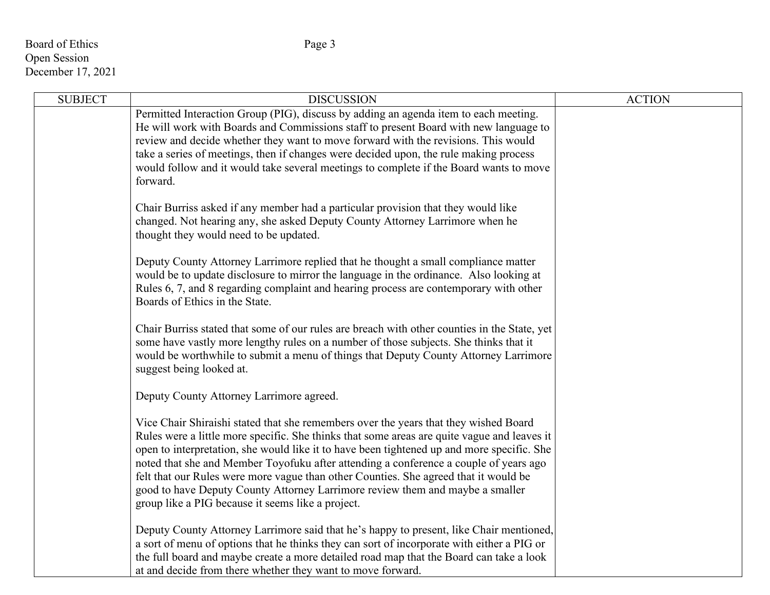# Board of Ethics Page 3 Open Session December 17, 2021

| <b>SUBJECT</b> | <b>DISCUSSION</b>                                                                                                                                                                                                                                                                                                                                                                                                                                                                                                                                                                                        | <b>ACTION</b> |
|----------------|----------------------------------------------------------------------------------------------------------------------------------------------------------------------------------------------------------------------------------------------------------------------------------------------------------------------------------------------------------------------------------------------------------------------------------------------------------------------------------------------------------------------------------------------------------------------------------------------------------|---------------|
|                | Permitted Interaction Group (PIG), discuss by adding an agenda item to each meeting.<br>He will work with Boards and Commissions staff to present Board with new language to<br>review and decide whether they want to move forward with the revisions. This would<br>take a series of meetings, then if changes were decided upon, the rule making process<br>would follow and it would take several meetings to complete if the Board wants to move<br>forward.                                                                                                                                        |               |
|                | Chair Burriss asked if any member had a particular provision that they would like<br>changed. Not hearing any, she asked Deputy County Attorney Larrimore when he<br>thought they would need to be updated.                                                                                                                                                                                                                                                                                                                                                                                              |               |
|                | Deputy County Attorney Larrimore replied that he thought a small compliance matter<br>would be to update disclosure to mirror the language in the ordinance. Also looking at<br>Rules 6, 7, and 8 regarding complaint and hearing process are contemporary with other<br>Boards of Ethics in the State.                                                                                                                                                                                                                                                                                                  |               |
|                | Chair Burriss stated that some of our rules are breach with other counties in the State, yet<br>some have vastly more lengthy rules on a number of those subjects. She thinks that it<br>would be worthwhile to submit a menu of things that Deputy County Attorney Larrimore<br>suggest being looked at.                                                                                                                                                                                                                                                                                                |               |
|                | Deputy County Attorney Larrimore agreed.                                                                                                                                                                                                                                                                                                                                                                                                                                                                                                                                                                 |               |
|                | Vice Chair Shiraishi stated that she remembers over the years that they wished Board<br>Rules were a little more specific. She thinks that some areas are quite vague and leaves it<br>open to interpretation, she would like it to have been tightened up and more specific. She<br>noted that she and Member Toyofuku after attending a conference a couple of years ago<br>felt that our Rules were more vague than other Counties. She agreed that it would be<br>good to have Deputy County Attorney Larrimore review them and maybe a smaller<br>group like a PIG because it seems like a project. |               |
|                | Deputy County Attorney Larrimore said that he's happy to present, like Chair mentioned,<br>a sort of menu of options that he thinks they can sort of incorporate with either a PIG or<br>the full board and maybe create a more detailed road map that the Board can take a look<br>at and decide from there whether they want to move forward.                                                                                                                                                                                                                                                          |               |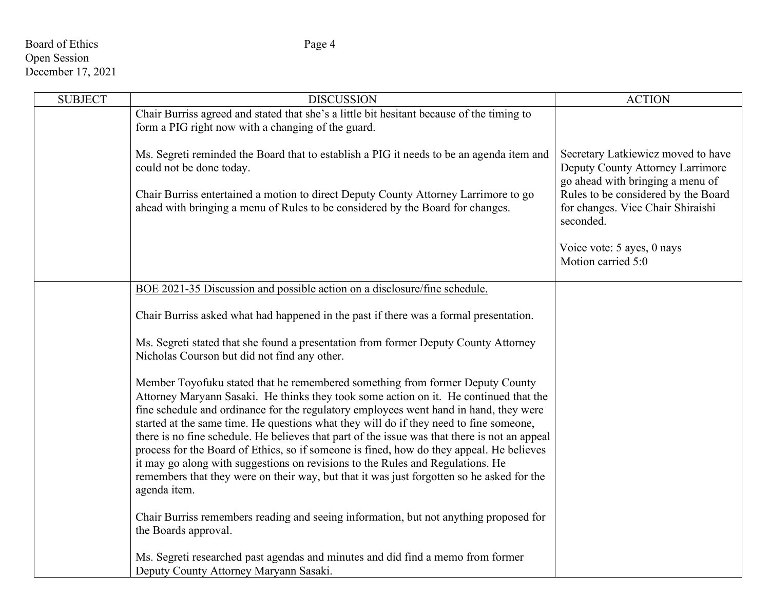# Board of Ethics Page 4 Open Session December 17, 2021

| <b>SUBJECT</b> | <b>DISCUSSION</b>                                                                                                                                                                                                                                                                                                                                                                                                                                                                                                                                      | <b>ACTION</b>                                                                                                                                                 |
|----------------|--------------------------------------------------------------------------------------------------------------------------------------------------------------------------------------------------------------------------------------------------------------------------------------------------------------------------------------------------------------------------------------------------------------------------------------------------------------------------------------------------------------------------------------------------------|---------------------------------------------------------------------------------------------------------------------------------------------------------------|
|                | Chair Burriss agreed and stated that she's a little bit hesitant because of the timing to<br>form a PIG right now with a changing of the guard.<br>Ms. Segreti reminded the Board that to establish a PIG it needs to be an agenda item and                                                                                                                                                                                                                                                                                                            | Secretary Latkiewicz moved to have                                                                                                                            |
|                | could not be done today.<br>Chair Burriss entertained a motion to direct Deputy County Attorney Larrimore to go<br>ahead with bringing a menu of Rules to be considered by the Board for changes.                                                                                                                                                                                                                                                                                                                                                      | Deputy County Attorney Larrimore<br>go ahead with bringing a menu of<br>Rules to be considered by the Board<br>for changes. Vice Chair Shiraishi<br>seconded. |
|                |                                                                                                                                                                                                                                                                                                                                                                                                                                                                                                                                                        |                                                                                                                                                               |
|                |                                                                                                                                                                                                                                                                                                                                                                                                                                                                                                                                                        | Voice vote: 5 ayes, 0 nays<br>Motion carried 5:0                                                                                                              |
|                | BOE 2021-35 Discussion and possible action on a disclosure/fine schedule.                                                                                                                                                                                                                                                                                                                                                                                                                                                                              |                                                                                                                                                               |
|                | Chair Burriss asked what had happened in the past if there was a formal presentation.                                                                                                                                                                                                                                                                                                                                                                                                                                                                  |                                                                                                                                                               |
|                | Ms. Segreti stated that she found a presentation from former Deputy County Attorney<br>Nicholas Courson but did not find any other.                                                                                                                                                                                                                                                                                                                                                                                                                    |                                                                                                                                                               |
|                | Member Toyofuku stated that he remembered something from former Deputy County<br>Attorney Maryann Sasaki. He thinks they took some action on it. He continued that the<br>fine schedule and ordinance for the regulatory employees went hand in hand, they were<br>started at the same time. He questions what they will do if they need to fine someone,<br>there is no fine schedule. He believes that part of the issue was that there is not an appeal<br>process for the Board of Ethics, so if someone is fined, how do they appeal. He believes |                                                                                                                                                               |
|                | it may go along with suggestions on revisions to the Rules and Regulations. He<br>remembers that they were on their way, but that it was just forgotten so he asked for the<br>agenda item.                                                                                                                                                                                                                                                                                                                                                            |                                                                                                                                                               |
|                | Chair Burriss remembers reading and seeing information, but not anything proposed for<br>the Boards approval.                                                                                                                                                                                                                                                                                                                                                                                                                                          |                                                                                                                                                               |
|                | Ms. Segreti researched past agendas and minutes and did find a memo from former<br>Deputy County Attorney Maryann Sasaki.                                                                                                                                                                                                                                                                                                                                                                                                                              |                                                                                                                                                               |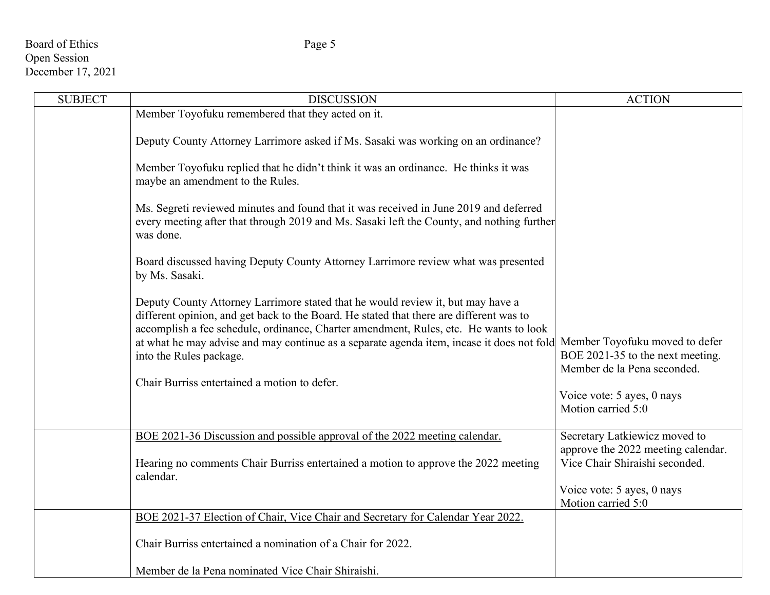# Board of Ethics Page 5 Open Session December 17, 2021

| <b>SUBJECT</b> | <b>DISCUSSION</b>                                                                                                                                                                                                                                                   | <b>ACTION</b>                                                                                     |
|----------------|---------------------------------------------------------------------------------------------------------------------------------------------------------------------------------------------------------------------------------------------------------------------|---------------------------------------------------------------------------------------------------|
|                | Member Toyofuku remembered that they acted on it.                                                                                                                                                                                                                   |                                                                                                   |
|                | Deputy County Attorney Larrimore asked if Ms. Sasaki was working on an ordinance?                                                                                                                                                                                   |                                                                                                   |
|                | Member Toyofuku replied that he didn't think it was an ordinance. He thinks it was<br>maybe an amendment to the Rules.                                                                                                                                              |                                                                                                   |
|                | Ms. Segreti reviewed minutes and found that it was received in June 2019 and deferred<br>every meeting after that through 2019 and Ms. Sasaki left the County, and nothing further<br>was done.                                                                     |                                                                                                   |
|                | Board discussed having Deputy County Attorney Larrimore review what was presented<br>by Ms. Sasaki.                                                                                                                                                                 |                                                                                                   |
|                | Deputy County Attorney Larrimore stated that he would review it, but may have a<br>different opinion, and get back to the Board. He stated that there are different was to<br>accomplish a fee schedule, ordinance, Charter amendment, Rules, etc. He wants to look |                                                                                                   |
|                | at what he may advise and may continue as a separate agenda item, incase it does not fold<br>into the Rules package.                                                                                                                                                | Member Toyofuku moved to defer<br>BOE 2021-35 to the next meeting.<br>Member de la Pena seconded. |
|                | Chair Burriss entertained a motion to defer.                                                                                                                                                                                                                        |                                                                                                   |
|                |                                                                                                                                                                                                                                                                     | Voice vote: 5 ayes, 0 nays<br>Motion carried 5:0                                                  |
|                | BOE 2021-36 Discussion and possible approval of the 2022 meeting calendar.                                                                                                                                                                                          | Secretary Latkiewicz moved to                                                                     |
|                | Hearing no comments Chair Burriss entertained a motion to approve the 2022 meeting<br>calendar.                                                                                                                                                                     | approve the 2022 meeting calendar.<br>Vice Chair Shiraishi seconded.                              |
|                |                                                                                                                                                                                                                                                                     | Voice vote: 5 ayes, 0 nays<br>Motion carried 5:0                                                  |
|                | BOE 2021-37 Election of Chair, Vice Chair and Secretary for Calendar Year 2022.                                                                                                                                                                                     |                                                                                                   |
|                | Chair Burriss entertained a nomination of a Chair for 2022.                                                                                                                                                                                                         |                                                                                                   |
|                | Member de la Pena nominated Vice Chair Shiraishi.                                                                                                                                                                                                                   |                                                                                                   |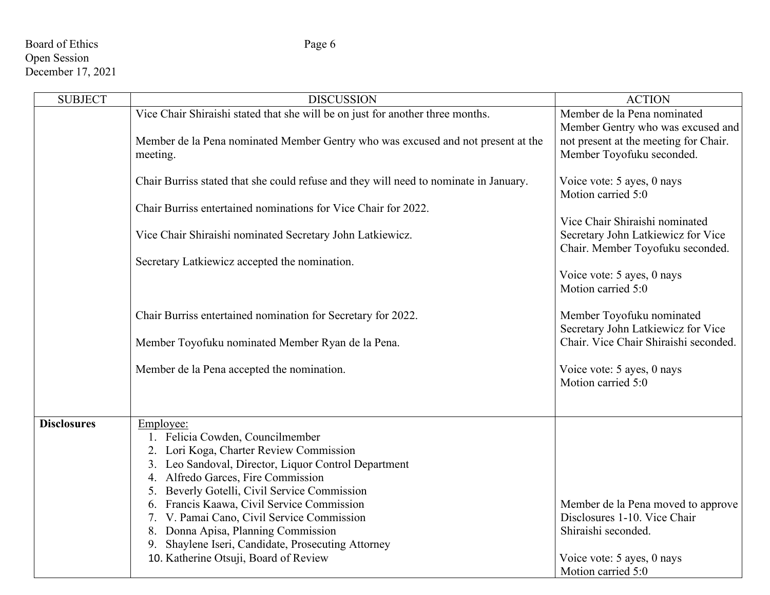# Board of Ethics Page 6 Open Session December 17, 2021

| <b>SUBJECT</b>     | <b>DISCUSSION</b>                                                                                                                                                                                                                                                                                                                                                                                                                                                        | <b>ACTION</b>                                                                                                                                 |
|--------------------|--------------------------------------------------------------------------------------------------------------------------------------------------------------------------------------------------------------------------------------------------------------------------------------------------------------------------------------------------------------------------------------------------------------------------------------------------------------------------|-----------------------------------------------------------------------------------------------------------------------------------------------|
|                    | Vice Chair Shiraishi stated that she will be on just for another three months.                                                                                                                                                                                                                                                                                                                                                                                           | Member de la Pena nominated<br>Member Gentry who was excused and                                                                              |
|                    | Member de la Pena nominated Member Gentry who was excused and not present at the<br>meeting.                                                                                                                                                                                                                                                                                                                                                                             | not present at the meeting for Chair.<br>Member Toyofuku seconded.                                                                            |
|                    | Chair Burriss stated that she could refuse and they will need to nominate in January.                                                                                                                                                                                                                                                                                                                                                                                    | Voice vote: 5 ayes, 0 nays<br>Motion carried 5:0                                                                                              |
|                    | Chair Burriss entertained nominations for Vice Chair for 2022.                                                                                                                                                                                                                                                                                                                                                                                                           |                                                                                                                                               |
|                    | Vice Chair Shiraishi nominated Secretary John Latkiewicz.                                                                                                                                                                                                                                                                                                                                                                                                                | Vice Chair Shiraishi nominated<br>Secretary John Latkiewicz for Vice<br>Chair. Member Toyofuku seconded.                                      |
|                    | Secretary Latkiewicz accepted the nomination.                                                                                                                                                                                                                                                                                                                                                                                                                            | Voice vote: 5 ayes, 0 nays<br>Motion carried 5:0                                                                                              |
|                    | Chair Burriss entertained nomination for Secretary for 2022.                                                                                                                                                                                                                                                                                                                                                                                                             | Member Toyofuku nominated<br>Secretary John Latkiewicz for Vice                                                                               |
|                    | Member Toyofuku nominated Member Ryan de la Pena.                                                                                                                                                                                                                                                                                                                                                                                                                        | Chair. Vice Chair Shiraishi seconded.                                                                                                         |
|                    | Member de la Pena accepted the nomination.                                                                                                                                                                                                                                                                                                                                                                                                                               | Voice vote: 5 ayes, 0 nays<br>Motion carried 5:0                                                                                              |
| <b>Disclosures</b> | Employee:<br>1. Felicia Cowden, Councilmember<br>2. Lori Koga, Charter Review Commission<br>3. Leo Sandoval, Director, Liquor Control Department<br>4. Alfredo Garces, Fire Commission<br>5. Beverly Gotelli, Civil Service Commission<br>6. Francis Kaawa, Civil Service Commission<br>7. V. Pamai Cano, Civil Service Commission<br>8. Donna Apisa, Planning Commission<br>9. Shaylene Iseri, Candidate, Prosecuting Attorney<br>10. Katherine Otsuji, Board of Review | Member de la Pena moved to approve<br>Disclosures 1-10. Vice Chair<br>Shiraishi seconded.<br>Voice vote: 5 ayes, 0 nays<br>Motion carried 5:0 |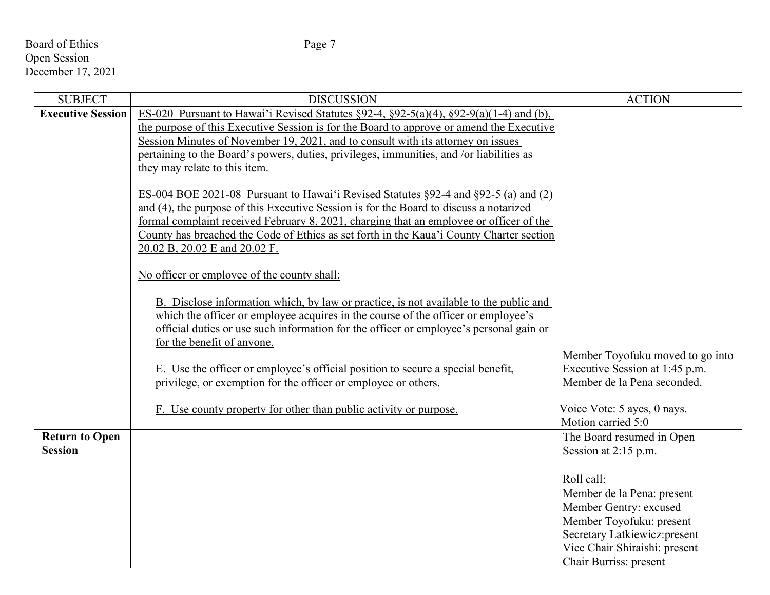# Board of Ethics Page 7 Open Session December 17, 2021

| <b>SUBJECT</b>           | <b>DISCUSSION</b>                                                                                    | <b>ACTION</b>                    |
|--------------------------|------------------------------------------------------------------------------------------------------|----------------------------------|
| <b>Executive Session</b> | ES-020 Pursuant to Hawai'i Revised Statutes $\S 92-4$ , $\S 92-5(a)(4)$ , $\S 92-9(a)(1-4)$ and (b), |                                  |
|                          | the purpose of this Executive Session is for the Board to approve or amend the Executive             |                                  |
|                          | Session Minutes of November 19, 2021, and to consult with its attorney on issues                     |                                  |
|                          | pertaining to the Board's powers, duties, privileges, immunities, and /or liabilities as             |                                  |
|                          | they may relate to this item.                                                                        |                                  |
|                          |                                                                                                      |                                  |
|                          | ES-004 BOE 2021-08 Pursuant to Hawai'i Revised Statutes §92-4 and §92-5 (a) and (2)                  |                                  |
|                          | and (4), the purpose of this Executive Session is for the Board to discuss a notarized               |                                  |
|                          | formal complaint received February 8, 2021, charging that an employee or officer of the              |                                  |
|                          | County has breached the Code of Ethics as set forth in the Kaua'i County Charter section             |                                  |
|                          | 20.02 B, 20.02 E and 20.02 F.                                                                        |                                  |
|                          |                                                                                                      |                                  |
|                          | No officer or employee of the county shall:                                                          |                                  |
|                          |                                                                                                      |                                  |
|                          | B. Disclose information which, by law or practice, is not available to the public and                |                                  |
|                          | which the officer or employee acquires in the course of the officer or employee's                    |                                  |
|                          | official duties or use such information for the officer or employee's personal gain or               |                                  |
|                          | for the benefit of anyone.                                                                           |                                  |
|                          |                                                                                                      | Member Toyofuku moved to go into |
|                          | E. Use the officer or employee's official position to secure a special benefit,                      | Executive Session at 1:45 p.m.   |
|                          | privilege, or exemption for the officer or employee or others.                                       | Member de la Pena seconded.      |
|                          |                                                                                                      |                                  |
|                          | F. Use county property for other than public activity or purpose.                                    | Voice Vote: 5 ayes, 0 nays.      |
|                          |                                                                                                      | Motion carried 5:0               |
| <b>Return to Open</b>    |                                                                                                      | The Board resumed in Open        |
| <b>Session</b>           |                                                                                                      | Session at 2:15 p.m.             |
|                          |                                                                                                      |                                  |
|                          |                                                                                                      | Roll call:                       |
|                          |                                                                                                      | Member de la Pena: present       |
|                          |                                                                                                      | Member Gentry: excused           |
|                          |                                                                                                      | Member Toyofuku: present         |
|                          |                                                                                                      | Secretary Latkiewicz: present    |
|                          |                                                                                                      | Vice Chair Shiraishi: present    |
|                          |                                                                                                      | Chair Burriss: present           |